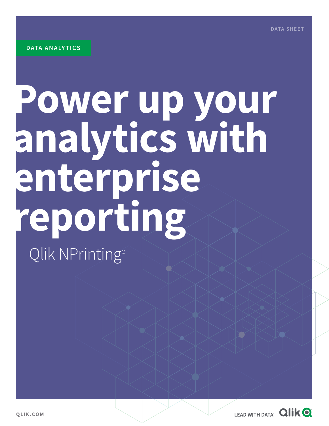## **Power up your analytics with enterprise reporting** Qlik NPrinting®

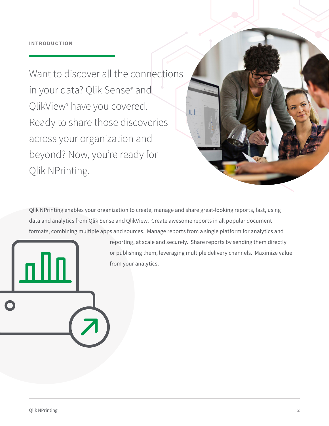Want to discover all the connections in your data? Qlik Sense® and QlikView® have you covered. Ready to share those discoveries across your organization and beyond? Now, you're ready for Qlik NPrinting.

Qlik NPrinting enables your organization to create, manage and share great-looking reports, fast, using data and analytics from Qlik Sense and QlikView. Create awesome reports in all popular document formats, combining multiple apps and sources. Manage reports from a single platform for analytics and

> reporting, at scale and securely. Share reports by sending them directly or publishing them, leveraging multiple delivery channels. Maximize value from your analytics.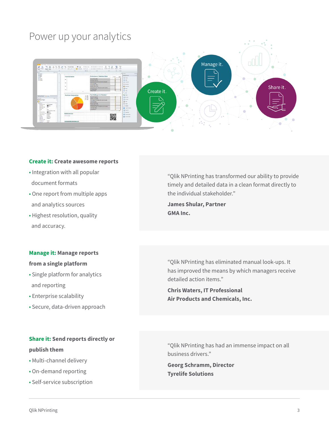### Power up your analytics



#### **Create it: Create awesome reports**

- Integration with all popular document formats
- One report from multiple apps and analytics sources
- Highest resolution, quality and accuracy.

#### **Manage it: Manage reports**

#### **from a single platform**

- Single platform for analytics and reporting
- Enterprise scalability
- Secure, data-driven approach

#### **Share it: Send reports directly or publish them**

- Multi-channel delivery
- On-demand reporting
- Self-service subscription

"Qlik NPrinting has transformed our ability to provide timely and detailed data in a clean format directly to the individual stakeholder."

**James Shular, Partner GMA Inc.**

"Qlik NPrinting has eliminated manual look-ups. It has improved the means by which managers receive detailed action items."

**Chris Waters, IT Professional Air Products and Chemicals, Inc.**

"Qlik NPrinting has had an immense impact on all business drivers."

**Georg Schramm, Director Tyrelife Solutions**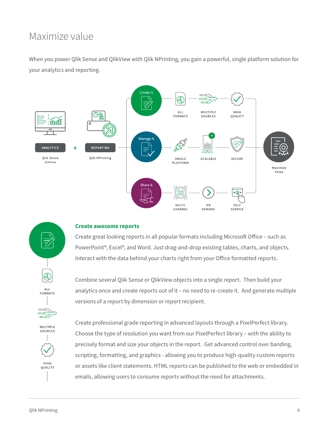### Maximize value

When you power Qlik Sense and QlikView with Qlik NPrinting, you gain a powerful, single platform solution for your analytics and reporting.



#### **Create awesome reports**

Create great looking reports in all popular formats including Microsoft Office – such as PowerPoint®, Excel®, and Word. Just drag-and-drop existing tables, charts, and objects. Interact with the data behind your charts right from your Office formatted reports.

Combine several Qlik Sense or QlikView objects into a single report. Then build your analytics once and create reports out of it – no need to re-create it. And generate multiple versions of a report by dimension or report recipient.

MULTIPLE SOURCES

 $01011$ unum  $\sum$ 

 $\mathbb{A}$ 

**ALL** FORMATS



Create professional grade reporting in advanced layouts through a PixelPerfect library. Choose the type of resolution you want from our PixelPerfect library – with the ability to precisely format and size your objects in the report. Get advanced control over banding, scripting, formatting, and graphics - allowing you to produce high-quality custom reports or assets like client statements. HTML reports can be published to the web or embedded in emails, allowing users to consume reports without the need for attachments.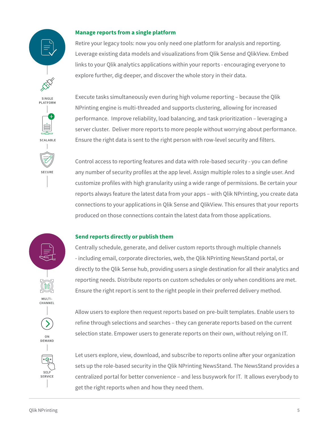# SINGLE PI ATFORM SCALARLE SECURE

#### **Manage reports from a single platform**

Retire your legacy tools: now you only need one platform for analysis and reporting. Leverage existing data models and visualizations from Qlik Sense and QlikView. Embed links to your Qlik analytics applications within your reports - encouraging everyone to explore further, dig deeper, and discover the whole story in their data.

Execute tasks simultaneously even during high volume reporting – because the Qlik NPrinting engine is multi-threaded and supports clustering, allowing for increased performance. Improve reliability, load balancing, and task prioritization – leveraging a server cluster. Deliver more reports to more people without worrying about performance. Ensure the right data is sent to the right person with row-level security and filters.

Control access to reporting features and data with role-based security - you can define any number of security profiles at the app level. Assign multiple roles to a single user. And customize profiles with high granularity using a wide range of permissions. Be certain your reports always feature the latest data from your apps – with Qlik NPrinting, you create data connections to your applications in Qlik Sense and QlikView. This ensures that your reports produced on those connections contain the latest data from those applications.

#### **Send reports directly or publish them**

Centrally schedule, generate, and deliver custom reports through multiple channels - including email, corporate directories, web, the Qlik NPrinting NewsStand portal, or directly to the Qlik Sense hub, providing users a single destination for all their analytics and reporting needs. Distribute reports on custom schedules or only when conditions are met. Ensure the right report is sent to the right people in their preferred delivery method.



Allow users to explore then request reports based on pre-built templates. Enable users to refine through selections and searches – they can generate reports based on the current selection state. Empower users to generate reports on their own, without relying on IT.



Let users explore, view, download, and subscribe to reports online after your organization sets up the role-based security in the Qlik NPrinting NewsStand. The NewsStand provides a centralized portal for better convenience – and less busywork for IT. It allows everybody to get the right reports when and how they need them.